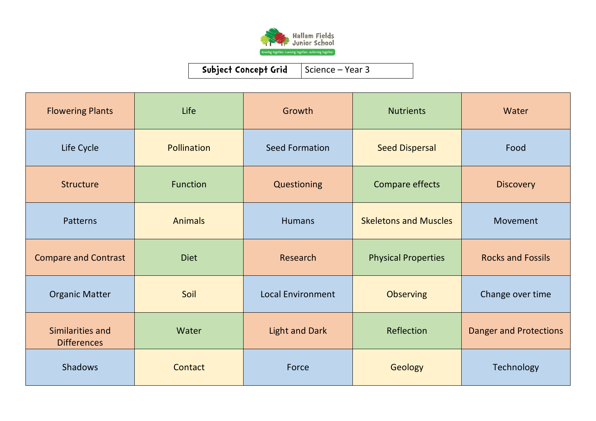

| <b>Flowering Plants</b>                | Life               | Growth                   | <b>Nutrients</b>             | Water                         |
|----------------------------------------|--------------------|--------------------------|------------------------------|-------------------------------|
| Life Cycle                             | <b>Pollination</b> | <b>Seed Formation</b>    | <b>Seed Dispersal</b>        | Food                          |
| Structure                              | <b>Function</b>    | Questioning              | Compare effects              | <b>Discovery</b>              |
| Patterns                               | <b>Animals</b>     | <b>Humans</b>            | <b>Skeletons and Muscles</b> | Movement                      |
| <b>Compare and Contrast</b>            | <b>Diet</b>        | Research                 | <b>Physical Properties</b>   | <b>Rocks and Fossils</b>      |
| <b>Organic Matter</b>                  | Soil               | <b>Local Environment</b> | <b>Observing</b>             | Change over time              |
| Similarities and<br><b>Differences</b> | Water              | <b>Light and Dark</b>    | Reflection                   | <b>Danger and Protections</b> |
| <b>Shadows</b>                         | Contact            | Force                    | Geology                      | Technology                    |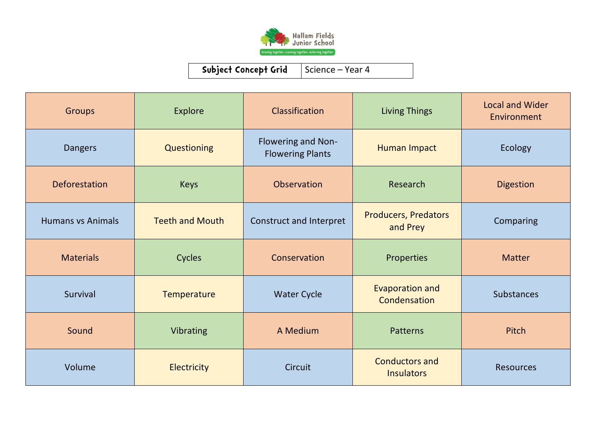

| <b>Groups</b>            | <b>Explore</b>         | Classification                                       | <b>Living Things</b>                       | <b>Local and Wider</b><br>Environment |
|--------------------------|------------------------|------------------------------------------------------|--------------------------------------------|---------------------------------------|
| <b>Dangers</b>           | Questioning            | <b>Flowering and Non-</b><br><b>Flowering Plants</b> | Human Impact                               | Ecology                               |
| Deforestation            | <b>Keys</b>            | Observation                                          | Research                                   | <b>Digestion</b>                      |
| <b>Humans vs Animals</b> | <b>Teeth and Mouth</b> | Construct and Interpret                              | <b>Producers, Predators</b><br>and Prey    | Comparing                             |
| <b>Materials</b>         | Cycles                 | Conservation                                         | Properties                                 | <b>Matter</b>                         |
| Survival                 | Temperature            | <b>Water Cycle</b>                                   | <b>Evaporation and</b><br>Condensation     | <b>Substances</b>                     |
| Sound                    | Vibrating              | A Medium                                             | <b>Patterns</b>                            | Pitch                                 |
| Volume                   | Electricity            | Circuit                                              | <b>Conductors and</b><br><b>Insulators</b> | <b>Resources</b>                      |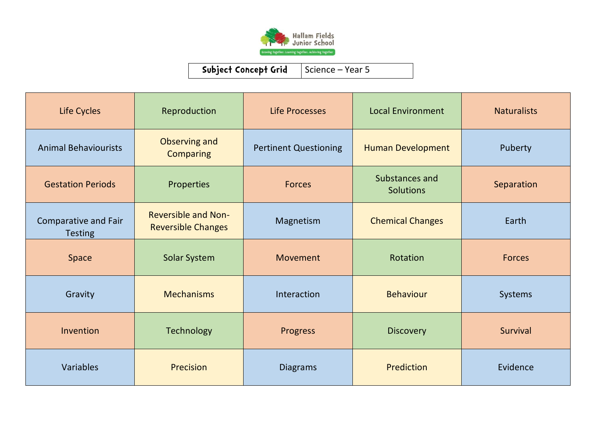

| Life Cycles                            | Reproduction                                            | Life Processes               | <b>Local Environment</b>           | <b>Naturalists</b> |
|----------------------------------------|---------------------------------------------------------|------------------------------|------------------------------------|--------------------|
| <b>Animal Behaviourists</b>            | Observing and<br><b>Comparing</b>                       | <b>Pertinent Questioning</b> | <b>Human Development</b>           | Puberty            |
| <b>Gestation Periods</b>               | Properties                                              | <b>Forces</b>                | Substances and<br><b>Solutions</b> | Separation         |
| Comparative and Fair<br><b>Testing</b> | <b>Reversible and Non-</b><br><b>Reversible Changes</b> | Magnetism                    | <b>Chemical Changes</b>            | Earth              |
| <b>Space</b>                           | Solar System                                            | Movement                     | Rotation                           | <b>Forces</b>      |
| Gravity                                | <b>Mechanisms</b>                                       | Interaction                  | <b>Behaviour</b>                   | Systems            |
| Invention                              | <b>Technology</b>                                       | <b>Progress</b>              | <b>Discovery</b>                   | Survival           |
| Variables                              | Precision                                               | <b>Diagrams</b>              | Prediction                         | Evidence           |